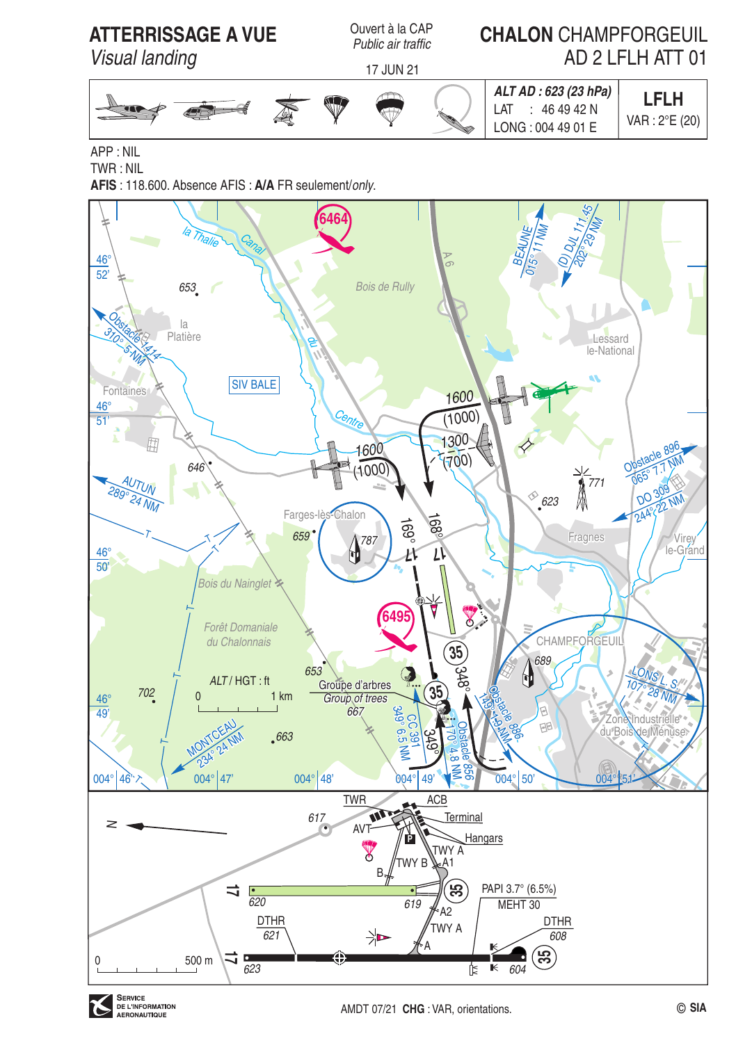



APP : NIL

TWR: NIL

AFIS: 118.600. Absence AFIS: A/A FR seulement/only.

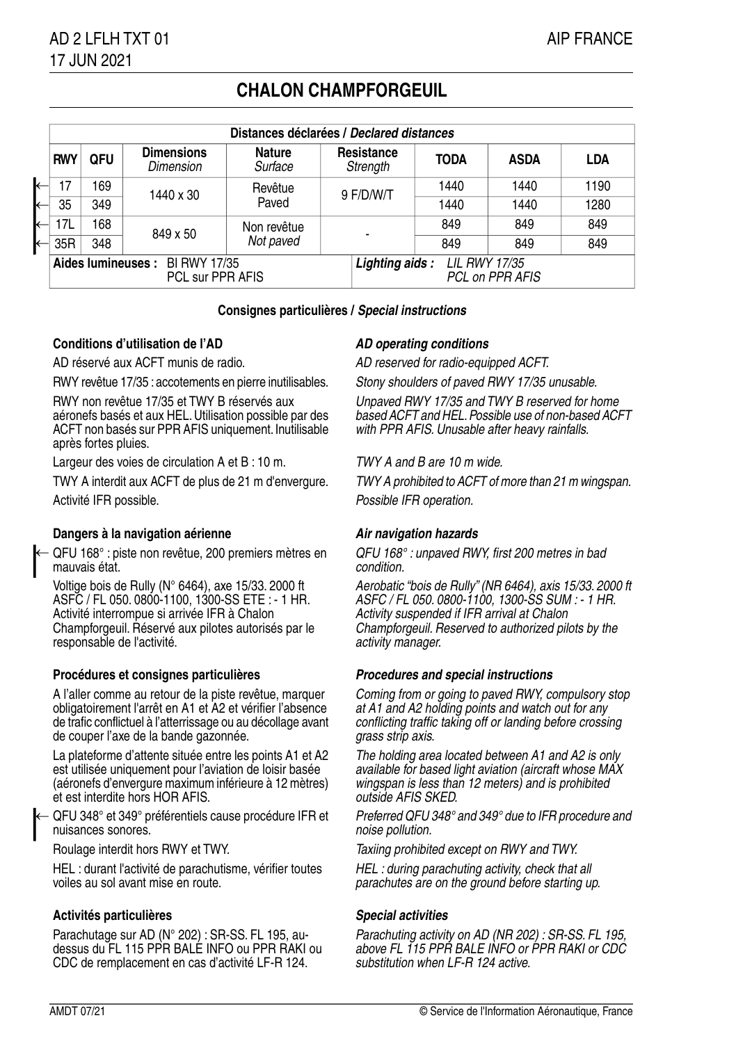## **CHALON CHAMPFORGEUIL**

|                        | Distances déclarées / Declared distances                      |            |                                |                          |                                                    |                        |             |             |            |  |
|------------------------|---------------------------------------------------------------|------------|--------------------------------|--------------------------|----------------------------------------------------|------------------------|-------------|-------------|------------|--|
|                        | <b>RWY</b>                                                    | <b>QFU</b> | <b>Dimensions</b><br>Dimension | <b>Nature</b><br>Surface |                                                    | Resistance<br>Strength | <b>TODA</b> | <b>ASDA</b> | <b>LDA</b> |  |
| k<br>⇤<br>$\leftarrow$ | 17                                                            | 169        | 1440 x 30                      | Revêtue                  | 9 F/D/W/T                                          |                        | 1440        | 1440        | 1190       |  |
|                        | 35                                                            | 349        |                                | Paved                    |                                                    |                        | 1440        | 1440        | 1280       |  |
|                        | 17L                                                           | 168        | 849 x 50                       | Non revêtue              |                                                    |                        | 849         | 849         | 849        |  |
|                        | 35R                                                           | 348        |                                | Not paved                |                                                    |                        | 849         | 849         | 849        |  |
|                        | <b>BI RWY 17/35</b><br>Aides lumineuses :<br>PCL sur PPR AFIS |            |                                |                          | LIL RWY 17/35<br>Lighting aids:<br>PCL on PPR AFIS |                        |             |             |            |  |

## **Consignes particulières / Special instructions**

## **Conditions d'utilisation de l'AD AD AD** operating conditions

AD réservé aux ACFT munis de radio. AD reserved for radio-equipped ACFT.

RWY revêtue 17/35 : accotements en pierre inutilisables. Stony shoulders of paved RWY 17/35 unusable.

RWY non revêtue 17/35 et TWY B réservés aux aéronefs basés et aux HEL. Utilisation possible par des ACFT non basés sur PPR AFIS uniquement. Inutilisable après fortes pluies.

Largeur des voies de circulation A et B : 10 m. TWY A and B are 10 m wide.

Activité IFR possible. Activité IFR operation.

### **Dangers à la navigation aérienne Air navigation hazards**

QFU 168° : piste non revêtue, 200 premiers mètres en mauvais état. ←

Voltige bois de Rully (N° 6464), axe 15/33. 2000 ft ASFC / FL 050. 0800-1100, 1300-SS ETE : - 1 HR. Activité interrompue si arrivée IFR à Chalon Champforgeuil. Réservé aux pilotes autorisés par le responsable de l'activité.

### **Procédures et consignes particulières Procedures and special instructions**

A l'aller comme au retour de la piste revêtue, marquer obligatoirement l'arrêt en A1 et A2 et vérifier l'absence de trafic conflictuel à l'atterrissage ou au décollage avant de couper l'axe de la bande gazonnée.

La plateforme d'attente située entre les points A1 et A2 est utilisée uniquement pour l'aviation de loisir basée (aéronefs d'envergure maximum inférieure à 12 mètres) et est interdite hors HOR AFIS.

QFU 348° et 349° préférentiels cause procédure IFR et nuisances sonores. ←

HEL : durant l'activité de parachutisme, vérifier toutes voiles au sol avant mise en route.

### **Activités particulières Special activities**

Parachutage sur AD (N° 202) : SR-SS. FL 195, audessus du FL 115 PPR BALE INFO ou PPR RAKI ou CDC de remplacement en cas d'activité LF-R 124.

Unpaved RWY 17/35 and TWY B reserved for home based ACFT and HEL. Possible use of non-based ACFT with PPR AFIS. Unusable after heavy rainfalls.

TWY A interdit aux ACFT de plus de 21 m d'envergure. TWY A prohibited to ACFT of more than 21 m wingspan.

QFU 168° : unpaved RWY, first 200 metres in bad condition.

Aerobatic "bois de Rully" (NR 6464), axis 15/33. 2000 ft ASFC / FL 050. 0800-1100, 1300-SS SUM : - 1 HR. Activity suspended if IFR arrival at Chalon Champforgeuil. Reserved to authorized pilots by the activity manager.

Coming from or going to paved RWY, compulsory stop at A1 and A2 holding points and watch out for any conflicting traffic taking off or landing before crossing grass strip axis.

The holding area located between A1 and A2 is only available for based light aviation (aircraft whose MAX wingspan is less than 12 meters) and is prohibited outside AFIS SKED.

Preferred QFU 348° and 349° due to IFR procedure and noise pollution.

Roulage interdit hors RWY et TWY. Taxiing prohibited except on RWY and TWY.

HEL : during parachuting activity, check that all parachutes are on the ground before starting up.

Parachuting activity on AD (NR 202) : SR-SS. FL 195, above FL 115 PPR BALE INFO or PPR RAKI or CDC substitution when LF-R 124 active.